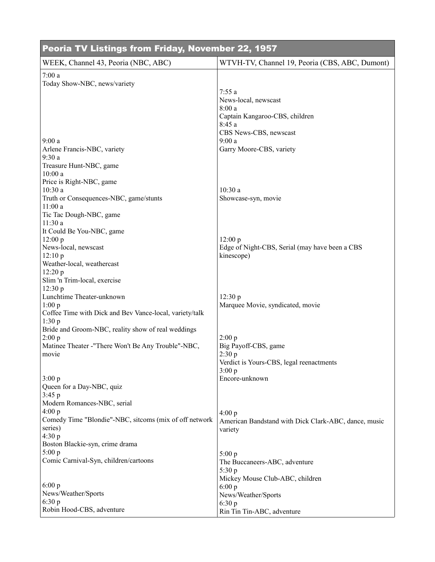| Peoria TV Listings from Friday, November 22, 1957            |                                                                |  |
|--------------------------------------------------------------|----------------------------------------------------------------|--|
| WEEK, Channel 43, Peoria (NBC, ABC)                          | WTVH-TV, Channel 19, Peoria (CBS, ABC, Dumont)                 |  |
| 7:00a<br>Today Show-NBC, news/variety                        |                                                                |  |
|                                                              | 7:55a                                                          |  |
|                                                              | News-local, newscast                                           |  |
|                                                              | 8:00a<br>Captain Kangaroo-CBS, children                        |  |
|                                                              | 8:45 a                                                         |  |
|                                                              | CBS News-CBS, newscast                                         |  |
| 9:00a<br>Arlene Francis-NBC, variety                         | 9:00a<br>Garry Moore-CBS, variety                              |  |
| 9:30a                                                        |                                                                |  |
| Treasure Hunt-NBC, game                                      |                                                                |  |
| 10:00a                                                       |                                                                |  |
| Price is Right-NBC, game<br>10:30a                           | 10:30a                                                         |  |
| Truth or Consequences-NBC, game/stunts                       | Showcase-syn, movie                                            |  |
| 11:00a                                                       |                                                                |  |
| Tic Tac Dough-NBC, game                                      |                                                                |  |
| 11:30 a<br>It Could Be You-NBC, game                         |                                                                |  |
| 12:00 p                                                      | 12:00 p                                                        |  |
| News-local, newscast                                         | Edge of Night-CBS, Serial (may have been a CBS                 |  |
| 12:10 p<br>Weather-local, weathercast                        | kinescope)                                                     |  |
| 12:20 p                                                      |                                                                |  |
| Slim 'n Trim-local, exercise                                 |                                                                |  |
| 12:30 p                                                      |                                                                |  |
| Lunchtime Theater-unknown<br>1:00 p                          | 12:30 p<br>Marquee Movie, syndicated, movie                    |  |
| Coffee Time with Dick and Bev Vance-local, variety/talk      |                                                                |  |
| 1:30p                                                        |                                                                |  |
| Bride and Groom-NBC, reality show of real weddings<br>2:00 p | 2:00 p                                                         |  |
| Matinee Theater -"There Won't Be Any Trouble"-NBC,           | Big Payoff-CBS, game                                           |  |
| movie                                                        | 2:30 p                                                         |  |
|                                                              | Verdict is Yours-CBS, legal reenactments                       |  |
| 3:00 p                                                       | 3:00 p<br>Encore-unknown                                       |  |
| Queen for a Day-NBC, quiz                                    |                                                                |  |
| 3:45 p                                                       |                                                                |  |
| Modern Romances-NBC, serial<br>4:00 p                        |                                                                |  |
| Comedy Time "Blondie"-NBC, sitcoms (mix of off network       | 4:00 p<br>American Bandstand with Dick Clark-ABC, dance, music |  |
| series)                                                      | variety                                                        |  |
| 4:30 p                                                       |                                                                |  |
| Boston Blackie-syn, crime drama<br>5:00 p                    |                                                                |  |
| Comic Carnival-Syn, children/cartoons                        | 5:00 p<br>The Buccaneers-ABC, adventure                        |  |
|                                                              | 5:30 p                                                         |  |
|                                                              | Mickey Mouse Club-ABC, children                                |  |
| 6:00 p<br>News/Weather/Sports                                | 6:00 p<br>News/Weather/Sports                                  |  |
| 6:30 p                                                       | 6:30 p                                                         |  |
| Robin Hood-CBS, adventure                                    | Rin Tin Tin-ABC, adventure                                     |  |